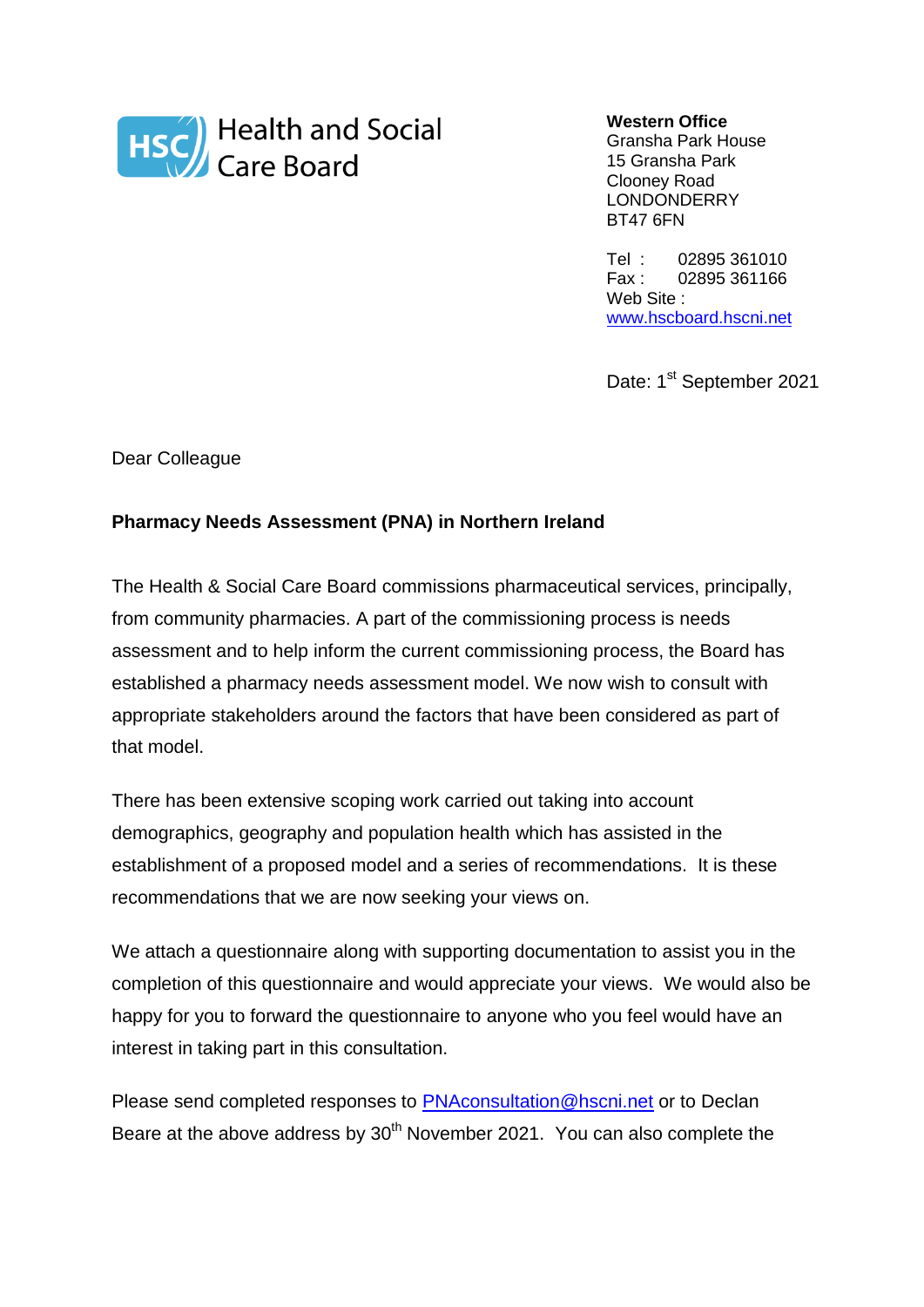

**Western Office**

Gransha Park House 15 Gransha Park Clooney Road LONDONDERRY BT47 6FN

Tel : 02895 361010 Fax : 02895 361166 Web Site : [www.hscboard.hscni.net](http://www.hscboard.hscni.net/)

Date: 1st September 2021

Dear Colleague

## **Pharmacy Needs Assessment (PNA) in Northern Ireland**

The Health & Social Care Board commissions pharmaceutical services, principally, from community pharmacies. A part of the commissioning process is needs assessment and to help inform the current commissioning process, the Board has established a pharmacy needs assessment model. We now wish to consult with appropriate stakeholders around the factors that have been considered as part of that model.

There has been extensive scoping work carried out taking into account demographics, geography and population health which has assisted in the establishment of a proposed model and a series of recommendations. It is these recommendations that we are now seeking your views on.

We attach a questionnaire along with supporting documentation to assist you in the completion of this questionnaire and would appreciate your views. We would also be happy for you to forward the questionnaire to anyone who you feel would have an interest in taking part in this consultation.

Please send completed responses to [PNAconsultation@hscni.net](mailto:PNAconsultation@hscni.net) or to Declan Beare at the above address by 30<sup>th</sup> November 2021. You can also complete the